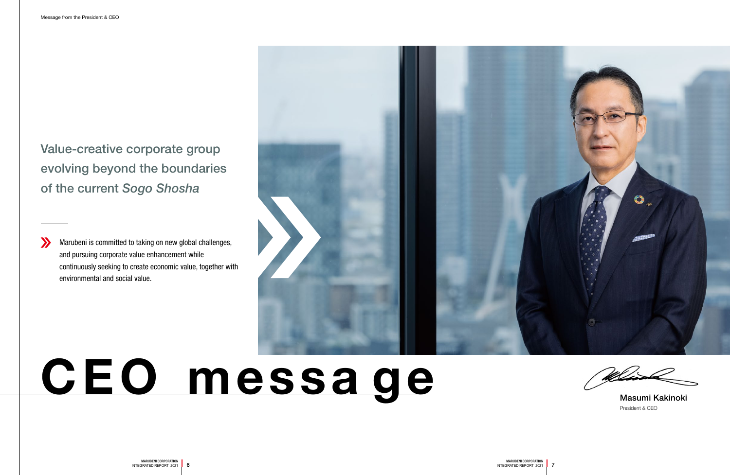Value-creative corporate group evolving beyond the boundaries of the current *Sogo Shosha*

# CEO messa ge

Marubeni is committed to taking on new global challenges, and pursuing corporate value enhancement while continuously seeking to create economic value, together with environmental and social value.



President & CEO Masumi Kakinoki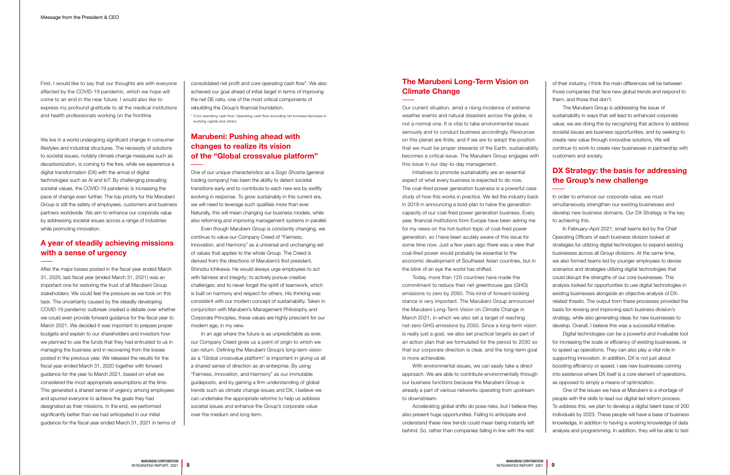First, I would like to say that our thoughts are with everyone affected by the COVID-19 pandemic, which we hope will come to an end in the near future. I would also like to express my profound gratitude to all the medical institutions and health professionals working on the frontline.

### A year of steadily achieving missions with a sense of urgency

We live in a world undergoing significant change in consumer lifestyles and industrial structures. The necessity of solutions to societal issues, notably climate change measures such as decarbonization, is coming to the fore, while we experience a digital transformation (DX) with the arrival of digital technologies such as AI and IoT. By challenging prevailing societal values, the COVID-19 pandemic is increasing the pace of change even further. The top priority for the Marubeni Group is still the safety of employees, customers and business partners worldwide. We aim to enhance our corporate value by addressing societal issues across a range of industries while promoting innovation.

After the major losses posted in the fiscal year ended March 31, 2020, last fiscal year (ended March 31, 2021) was an important one for restoring the trust of all Marubeni Group stakeholders. We could feel the pressure as we took on this task. The uncertainty caused by the steadily developing COVID-19 pandemic outbreak created a debate over whether we could even provide forward guidance for the fiscal year to March 2021. We decided it was important to prepare proper budgets and explain to our shareholders and investors how we planned to use the funds that they had entrusted to us in managing the business and in recovering from the losses posted in the previous year. We released the results for the fiscal year ended March 31, 2020 together with forward guidance for the year to March 2021, based on what we considered the most appropriate assumptions at the time. This generated a shared sense of urgency among employees and spurred everyone to achieve the goals they had designated as their missions. In the end, we performed significantly better than we had anticipated in our initial guidance for the fiscal year ended March 31, 2021 in terms of

consolidated net profit and core operating cash flow\*. We also achieved our goal ahead of initial target in terms of improving the net DE ratio, one of the most critical components of rebuilding the Group's financial foundation.

\* Core operating cash flow: Operating cash flow excluding net increase/decrease in working capital and others

### Marubeni: Pushing ahead with changes to realize its vision of the "Global crossvalue platform"

One of our unique characteristics as a *Sogo Shosha* (general trading company) has been the ability to detect societal transitions early and to contribute to each new era by swiftly evolving in response. To grow sustainably in this current era, we will need to leverage such qualities more than ever. Naturally, this will mean changing our business models, while also reforming and improving management systems in parallel.

Even though Marubeni Group is constantly changing, we continue to value our Company Creed of "Fairness, Innovation, and Harmony" as a universal and unchanging set of values that applies to the whole Group. The Creed is derived from the directions of Marubeni's first president, Shinobu Ichikawa. He would always urge employees to act with fairness and integrity; to actively pursue creative challenges; and to never forget the spirit of teamwork, which is built on harmony and respect for others. His thinking was consistent with our modern concept of sustainability. Taken in conjunction with Marubeni's Management Philosophy and Corporate Principles, these values are highly prescient for our modern age, in my view.

## DX Strategy: the basis for addressing the Group's new challenge

In an age where the future is as unpredictable as ever, our Company Creed gives us a point of origin to which we can return. Defining the Marubeni Group's long-term vision as a "Global crossvalue platform" is important in giving us all a shared sense of direction as an enterprise. By using "Fairness, Innovation, and Harmony" as our immutable guideposts, and by gaining a firm understanding of global trends such as climate change issues and DX, I believe we can undertake the appropriate reforms to help us address societal issues and enhance the Group's corporate value over the medium and long term.

## The Marubeni Long-Term Vision on Climate Change

Our current situation, amid a rising incidence of extreme weather events and natural disasters across the globe, is not a normal one. It is vital to take environmental issues seriously and to conduct business accordingly. Resources on this planet are finite, and if we are to adopt the position that we must be proper stewards of the Earth, sustainability becomes a critical issue. The Marubeni Group engages with this issue in our day-to-day management.

Initiatives to promote sustainability are an essential aspect of what every business is expected to do now. The coal-fired power generation business is a powerful case study of how this works in practice. We led the industry back in 2018 in announcing a bold plan to halve the generation capacity of our coal-fired power generation business. Every year, financial institutions from Europe have been asking me for my views on the hot-button topic of coal-fired power generation, so I have been acutely aware of this issue for some time now. Just a few years ago there was a view that coal-fired power would probably be essential to the economic development of Southeast Asian countries, but in the blink of an eye the world has shifted.

Today, more than 120 countries have made the commitment to reduce their net greenhouse gas (GHG) emissions to zero by 2050. This kind of forward-looking stance is very important. The Marubeni Group announced the Marubeni Long-Term Vision on Climate Change in March 2021, in which we also set a target of reaching net-zero GHG emissions by 2050. Since a long-term vision is really just a goal, we also set practical targets as part of an action plan that we formulated for the period to 2030 so that our corporate direction is clear, and the long-term goal is more achievable.

With environmental issues, we can easily take a direct approach. We are able to contribute environmentally through our business functions because the Marubeni Group is already a part of various networks operating from upstream to downstream.

Accelerating global shifts do pose risks, but I believe they also present huge opportunities. Failing to anticipate and understand these new trends could mean being instantly left behind. So, rather than companies falling in line with the rest

of their industry, I think the main differences will be between those companies that face new global trends and respond to them, and those that don't.

The Marubeni Group is addressing the issue of sustainability in ways that will lead to enhanced corporate value; we are doing this by recognizing that actions to address societal issues are business opportunities, and by seeking to create new value through innovative solutions. We will continue to work to create new businesses in partnership with customers and society.

In order to enhance our corporate value, we must simultaneously strengthen our existing businesses and develop new business domains. Our DX Strategy is the key to achieving this.

In February–April 2021, small teams led by the Chief Operating Officers of each business division looked at strategies for utilizing digital technologies to expand existing businesses across all Group divisions. At the same time, we also formed teams led by younger employees to devise scenarios and strategies utilizing digital technologies that could disrupt the strengths of our core businesses. This analysis looked for opportunities to use digital technologies in existing businesses alongside an objective analysis of DXrelated threats. The output from these processes provided the basis for revising and improving each business division's strategy, while also generating ideas for new businesses to develop. Overall, I believe this was a successful initiative.

Digital technologies can be a powerful and invaluable tool for increasing the scale or efficiency of existing businesses, or to speed up operations. They can also play a vital role in supporting innovation. In addition, DX is not just about boosting efficiency or speed; I see new businesses coming into existence where DX itself is a core element of operations, as opposed to simply a means of optimization.

One of the issues we have at Marubeni is a shortage of people with the skills to lead our digital-led reform process. To address this, we plan to develop a digital talent base of 200 individuals by 2023. These people will have a base of business knowledge, in addition to having a working knowledge of data analysis and programming. In addition, they will be able to test